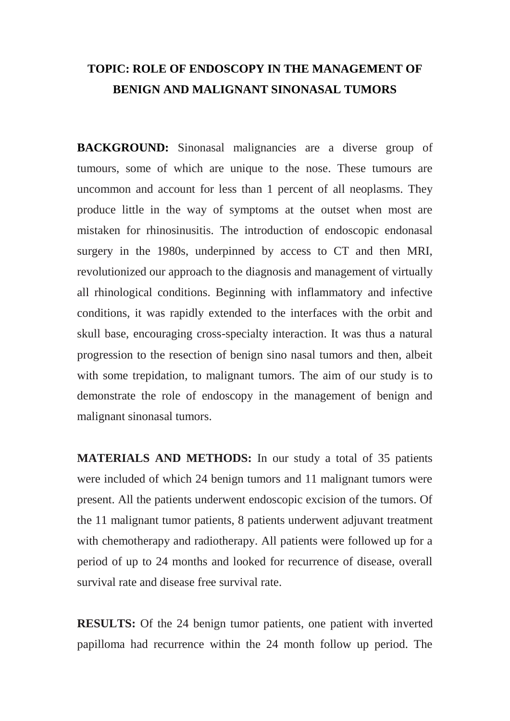## **TOPIC: ROLE OF ENDOSCOPY IN THE MANAGEMENT OF BENIGN AND MALIGNANT SINONASAL TUMORS**

**BACKGROUND:** Sinonasal malignancies are a diverse group of tumours, some of which are unique to the nose. These tumours are uncommon and account for less than 1 percent of all neoplasms. They produce little in the way of symptoms at the outset when most are mistaken for rhinosinusitis. The introduction of endoscopic endonasal surgery in the 1980s, underpinned by access to CT and then MRI, revolutionized our approach to the diagnosis and management of virtually all rhinological conditions. Beginning with inflammatory and infective conditions, it was rapidly extended to the interfaces with the orbit and skull base, encouraging cross-specialty interaction. It was thus a natural progression to the resection of benign sino nasal tumors and then, albeit with some trepidation, to malignant tumors. The aim of our study is to demonstrate the role of endoscopy in the management of benign and malignant sinonasal tumors.

**MATERIALS AND METHODS:** In our study a total of 35 patients were included of which 24 benign tumors and 11 malignant tumors were present. All the patients underwent endoscopic excision of the tumors. Of the 11 malignant tumor patients, 8 patients underwent adjuvant treatment with chemotherapy and radiotherapy. All patients were followed up for a period of up to 24 months and looked for recurrence of disease, overall survival rate and disease free survival rate.

**RESULTS:** Of the 24 benign tumor patients, one patient with inverted papilloma had recurrence within the 24 month follow up period. The